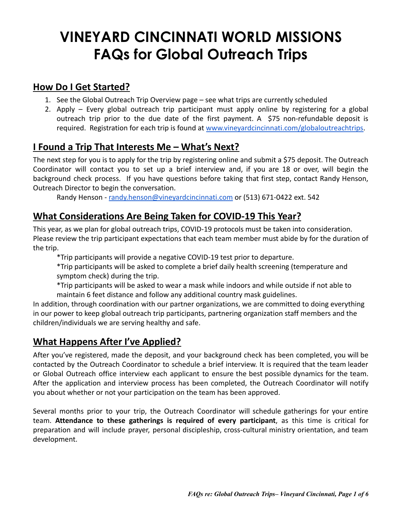# **VINEYARD CINCINNATI WORLD MISSIONS FAQs for Global Outreach Trips**

### **How Do I Get Started?**

- 1. See the Global Outreach Trip Overview page see what trips are currently scheduled
- 2. Apply Every global outreach trip participant must apply online by registering for a global outreach trip prior to the due date of the first payment. A \$75 non-refundable deposit is required. Registration for each trip is found at [www.vineyardcincinnati.com/globaloutreachtrips.](http://www.vineyardcincinnati.com/globaloutreachtrips)

### **I Found a Trip That Interests Me – What's Next?**

The next step for you is to apply for the trip by registering online and submit a \$75 deposit. The Outreach Coordinator will contact you to set up a brief interview and, if you are 18 or over, will begin the background check process. If you have questions before taking that first step, contact Randy Henson, Outreach Director to begin the conversation.

Randy Henson - [randy.henson@vineyardcincinnati.com](mailto:randy.henson@vineyardcincinnati.com) or (513) 671-0422 ext. 542

### **What Considerations Are Being Taken for COVID-19 This Year?**

This year, as we plan for global outreach trips, COVID-19 protocols must be taken into consideration. Please review the trip participant expectations that each team member must abide by for the duration of the trip.

\*Trip participants will provide a negative COVID-19 test prior to departure.

\*Trip participants will be asked to complete a brief daily health screening (temperature and symptom check) during the trip.

\*Trip participants will be asked to wear a mask while indoors and while outside if not able to maintain 6 feet distance and follow any additional country mask guidelines.

In addition, through coordination with our partner organizations, we are committed to doing everything in our power to keep global outreach trip participants, partnering organization staff members and the children/individuals we are serving healthy and safe.

# **What Happens After I've Applied?**

After you've registered, made the deposit, and your background check has been completed, you will be contacted by the Outreach Coordinator to schedule a brief interview. It is required that the team leader or Global Outreach office interview each applicant to ensure the best possible dynamics for the team. After the application and interview process has been completed, the Outreach Coordinator will notify you about whether or not your participation on the team has been approved.

Several months prior to your trip, the Outreach Coordinator will schedule gatherings for your entire team. **Attendance to these gatherings is required of every participant**, as this time is critical for preparation and will include prayer, personal discipleship, cross-cultural ministry orientation, and team development.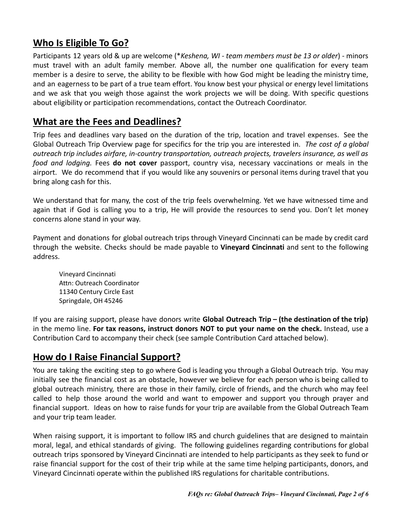### **Who Is Eligible To Go?**

Participants 12 years old & up are welcome (\**Keshena, WI - team members must be 13 or older*) - minors must travel with an adult family member. Above all, the number one qualification for every team member is a desire to serve, the ability to be flexible with how God might be leading the ministry time, and an eagerness to be part of a true team effort. You know best your physical or energy level limitations and we ask that you weigh those against the work projects we will be doing. With specific questions about eligibility or participation recommendations, contact the Outreach Coordinator.

### **What are the Fees and Deadlines?**

Trip fees and deadlines vary based on the duration of the trip, location and travel expenses. See the Global Outreach Trip Overview page for specifics for the trip you are interested in. *The cost of a global outreach trip includes airfare, in-country transportation, outreach projects, travelers insurance, as well as food and lodging.* Fees **do not cover** passport, country visa, necessary vaccinations or meals in the airport. We do recommend that if you would like any souvenirs or personal items during travel that you bring along cash for this.

We understand that for many, the cost of the trip feels overwhelming. Yet we have witnessed time and again that if God is calling you to a trip, He will provide the resources to send you. Don't let money concerns alone stand in your way.

Payment and donations for global outreach trips through Vineyard Cincinnati can be made by credit card through the website. Checks should be made payable to **Vineyard Cincinnati** and sent to the following address.

Vineyard Cincinnati Attn: Outreach Coordinator 11340 Century Circle East Springdale, OH 45246

If you are raising support, please have donors write **Global Outreach Trip – (the destination of the trip)** in the memo line. **For tax reasons, instruct donors NOT to put your name on the check.** Instead, use a Contribution Card to accompany their check (see sample Contribution Card attached below).

### **How do I Raise Financial Support?**

You are taking the exciting step to go where God is leading you through a Global Outreach trip. You may initially see the financial cost as an obstacle, however we believe for each person who is being called to global outreach ministry, there are those in their family, circle of friends, and the church who may feel called to help those around the world and want to empower and support you through prayer and financial support. Ideas on how to raise funds for your trip are available from the Global Outreach Team and your trip team leader.

When raising support, it is important to follow IRS and church guidelines that are designed to maintain moral, legal, and ethical standards of giving. The following guidelines regarding contributions for global outreach trips sponsored by Vineyard Cincinnati are intended to help participants as they seek to fund or raise financial support for the cost of their trip while at the same time helping participants, donors, and Vineyard Cincinnati operate within the published IRS regulations for charitable contributions.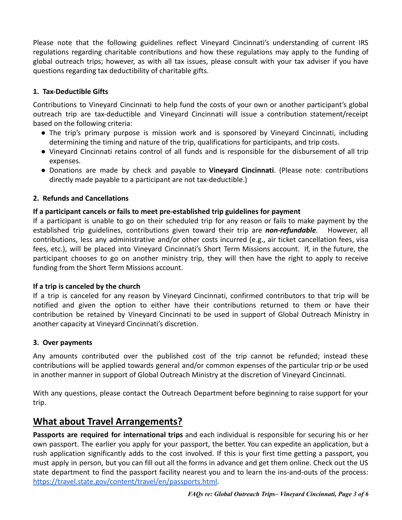Please note that the following guidelines reflect Vineyard Cincinnati's understanding of current IRS regulations regarding charitable contributions and how these regulations may apply to the funding of global outreach trips; however, as with all tax issues, please consult with your tax adviser if you have questions regarding tax deductibility of charitable gifts.

#### **1. Tax-Deductible Gifts**

Contributions to Vineyard Cincinnati to help fund the costs of your own or another participant's global outreach trip are tax-deductible and Vineyard Cincinnati will issue a contribution statement/receipt based on the following criteria:

- The trip's primary purpose is mission work and is sponsored by Vineyard Cincinnati, including determining the timing and nature of the trip, qualifications for participants, and trip costs.
- Vineyard Cincinnati retains control of all funds and is responsible for the disbursement of all trip expenses.
- Donations are made by check and payable to **Vineyard Cincinnati**. (Please note: contributions directly made payable to a participant are not tax-deductible.)

#### **2. Refunds and Cancellations**

#### **If a participant cancels or fails to meet pre-established trip guidelines for payment**

If a participant is unable to go on their scheduled trip for any reason or fails to make payment by the established trip guidelines, contributions given toward their trip are *non-refundable*. However, all contributions, less any administrative and/or other costs incurred (e.g., air ticket cancellation fees, visa fees, etc.), will be placed into Vineyard Cincinnati's Short Term Missions account. If, in the future, the participant chooses to go on another ministry trip, they will then have the right to apply to receive funding from the Short Term Missions account.

#### **If a trip is canceled by the church**

If a trip is canceled for any reason by Vineyard Cincinnati, confirmed contributors to that trip will be notified and given the option to either have their contributions returned to them or have their contribution be retained by Vineyard Cincinnati to be used in support of Global Outreach Ministry in another capacity at Vineyard Cincinnati's discretion.

#### **3. Over payments**

Any amounts contributed over the published cost of the trip cannot be refunded; instead these contributions will be applied towards general and/or common expenses of the particular trip or be used in another manner in support of Global Outreach Ministry at the discretion of Vineyard Cincinnati.

With any questions, please contact the Outreach Department before beginning to raise support for your trip.

### **What about Travel Arrangements?**

**Passports are required for international trips** and each individual is responsible for securing his or her own passport. The earlier you apply for your passport, the better. You can expedite an application, but a rush application significantly adds to the cost involved. If this is your first time getting a passport, you must apply in person, but you can fill out all the forms in advance and get them online. Check out the US state department to find the passport facility nearest you and to learn the ins-and-outs of the process: [https://travel.state.gov/content/travel/en/passports.html.](https://travel.state.gov/content/travel/en/passports.html)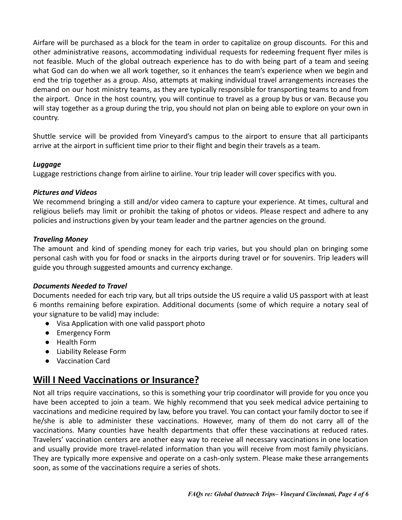Airfare will be purchased as a block for the team in order to capitalize on group discounts. For this and other administrative reasons, accommodating individual requests for redeeming frequent flyer miles is not feasible. Much of the global outreach experience has to do with being part of a team and seeing what God can do when we all work together, so it enhances the team's experience when we begin and end the trip together as a group. Also, attempts at making individual travel arrangements increases the demand on our host ministry teams, as they are typically responsible for transporting teams to and from the airport. Once in the host country, you will continue to travel as a group by bus or van. Because you will stay together as a group during the trip, you should not plan on being able to explore on your own in country.

Shuttle service will be provided from Vineyard's campus to the airport to ensure that all participants arrive at the airport in sufficient time prior to their flight and begin their travels as a team.

#### *Luggage*

Luggage restrictions change from airline to airline. Your trip leader will cover specifics with you.

#### *Pictures and Videos*

We recommend bringing a still and/or video camera to capture your experience. At times, cultural and religious beliefs may limit or prohibit the taking of photos or videos. Please respect and adhere to any policies and instructions given by your team leader and the partner agencies on the ground.

#### *Traveling Money*

The amount and kind of spending money for each trip varies, but you should plan on bringing some personal cash with you for food or snacks in the airports during travel or for souvenirs. Trip leaders will guide you through suggested amounts and currency exchange.

#### *Documents Needed to Travel*

Documents needed for each trip vary, but all trips outside the US require a valid US passport with at least 6 months remaining before expiration. Additional documents (some of which require a notary seal of your signature to be valid) may include:

- Visa Application with one valid passport photo
- **●** Emergency Form
- Health Form
- **●** Liability Release Form
- Vaccination Card

### **Will I Need Vaccinations or Insurance?**

Not all trips require vaccinations, so this is something your trip coordinator will provide for you once you have been accepted to join a team. We highly recommend that you seek medical advice pertaining to vaccinations and medicine required by law, before you travel. You can contact your family doctor to see if he/she is able to administer these vaccinations. However, many of them do not carry all of the vaccinations. Many counties have health departments that offer these vaccinations at reduced rates. Travelers' vaccination centers are another easy way to receive all necessary vaccinations in one location and usually provide more travel-related information than you will receive from most family physicians. They are typically more expensive and operate on a cash-only system. Please make these arrangements soon, as some of the vaccinations require a series of shots.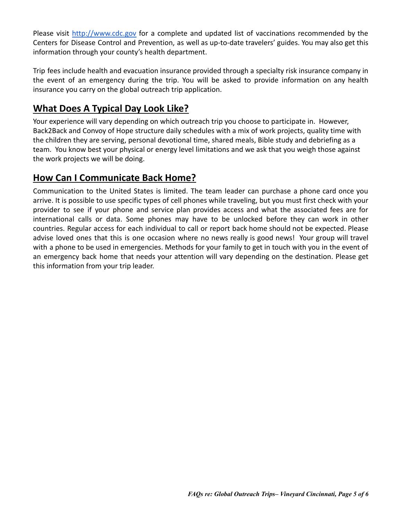Please visit <http://www.cdc.gov> for a complete and updated list of vaccinations recommended by the Centers for Disease Control and Prevention, as well as up-to-date travelers' guides. You may also get this information through your county's health department.

Trip fees include health and evacuation insurance provided through a specialty risk insurance company in the event of an emergency during the trip. You will be asked to provide information on any health insurance you carry on the global outreach trip application.

## **What Does A Typical Day Look Like?**

Your experience will vary depending on which outreach trip you choose to participate in. However, Back2Back and Convoy of Hope structure daily schedules with a mix of work projects, quality time with the children they are serving, personal devotional time, shared meals, Bible study and debriefing as a team. You know best your physical or energy level limitations and we ask that you weigh those against the work projects we will be doing.

### **How Can I Communicate Back Home?**

Communication to the United States is limited. The team leader can purchase a phone card once you arrive. It is possible to use specific types of cell phones while traveling, but you must first check with your provider to see if your phone and service plan provides access and what the associated fees are for international calls or data. Some phones may have to be unlocked before they can work in other countries. Regular access for each individual to call or report back home should not be expected. Please advise loved ones that this is one occasion where no news really is good news! Your group will travel with a phone to be used in emergencies. Methods for your family to get in touch with you in the event of an emergency back home that needs your attention will vary depending on the destination. Please get this information from your trip leader.